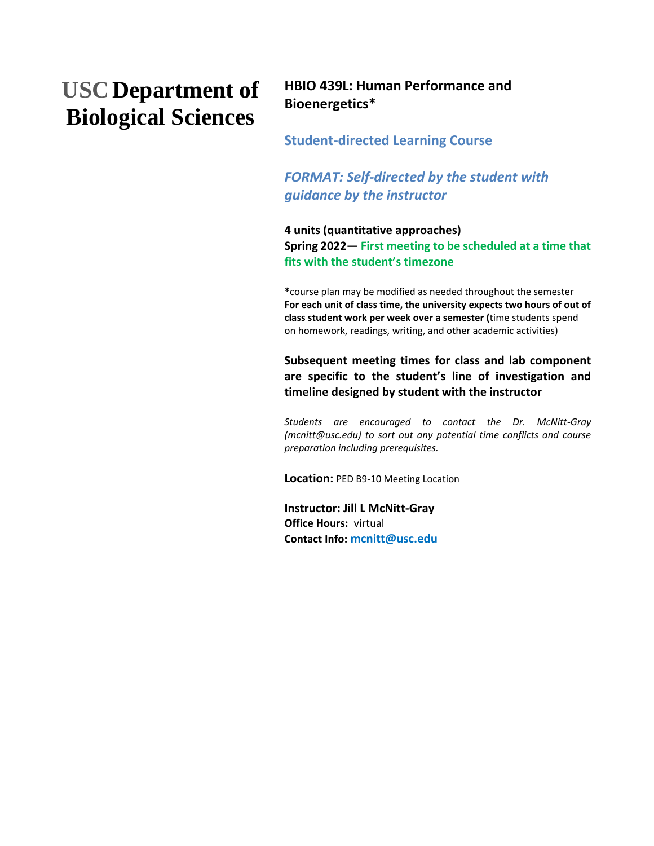# **USCDepartment of Biological Sciences**

**HBIO 439L: Human Performance and Bioenergetics\***

**Student-directed Learning Course**

*FORMAT: Self-directed by the student with guidance by the instructor*

**4 units (quantitative approaches) Spring 2022— First meeting to be scheduled at a time that fits with the student's timezone**

**\***course plan may be modified as needed throughout the semester **For each unit of class time, the university expects two hours of out of class student work per week over a semester (**time students spend on homework, readings, writing, and other academic activities)

**Subsequent meeting times for class and lab component are specific to the student's line of investigation and timeline designed by student with the instructor**

*Students are encouraged to contact the Dr. McNitt-Gray (mcnitt@usc.edu) to sort out any potential time conflicts and course preparation including prerequisites.*

**Location:** PED B9-10 Meeting Location

**Instructor: Jill L McNitt-Gray Office Hours:** virtual **Contact Info: mcnitt@usc.edu**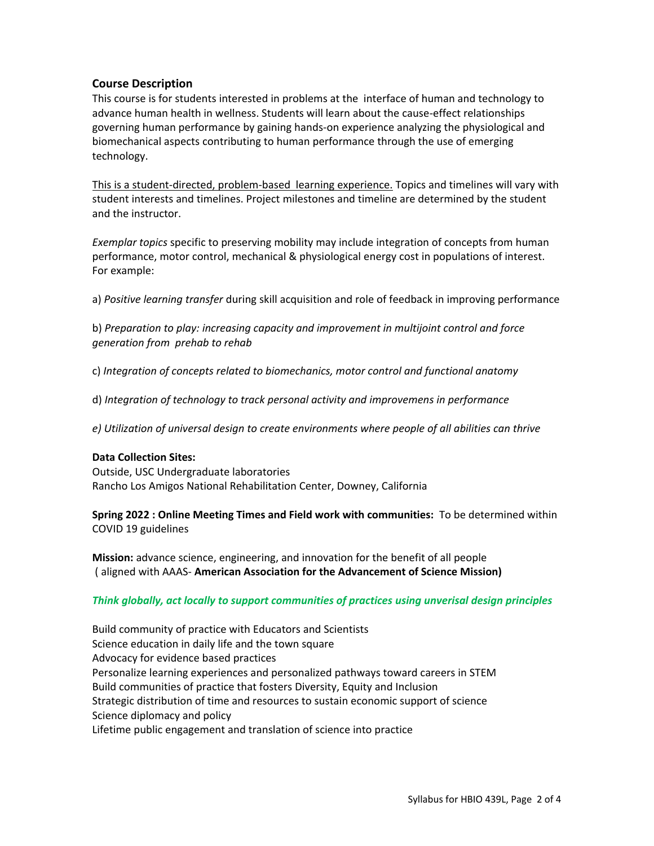## **Course Description**

This course is for students interested in problems at the interface of human and technology to advance human health in wellness. Students will learn about the cause-effect relationships governing human performance by gaining hands-on experience analyzing the physiological and biomechanical aspects contributing to human performance through the use of emerging technology.

This is a student-directed, problem-based learning experience. Topics and timelines will vary with student interests and timelines. Project milestones and timeline are determined by the student and the instructor.

*Exemplar topics* specific to preserving mobility may include integration of concepts from human performance, motor control, mechanical & physiological energy cost in populations of interest. For example:

a) *Positive learning transfer* during skill acquisition and role of feedback in improving performance

b) *Preparation to play: increasing capacity and improvement in multijoint control and force generation from prehab to rehab* 

c) *Integration of concepts related to biomechanics, motor control and functional anatomy*

d) *Integration of technology to track personal activity and improvemens in performance*

*e) Utilization of universal design to create environments where people of all abilities can thrive*

## **Data Collection Sites:**

Outside, USC Undergraduate laboratories Rancho Los Amigos National Rehabilitation Center, Downey, California

**Spring 2022 : Online Meeting Times and Field work with communities:** To be determined within COVID 19 guidelines

**Mission:** advance science, engineering, and innovation for the benefit of all people ( aligned with AAAS- **American Association for the Advancement of Science Mission)**

## *Think globally, act locally to support communities of practices using unverisal design principles*

Build community of practice with Educators and Scientists Science education in daily life and the town square Advocacy for evidence based practices Personalize learning experiences and personalized pathways toward careers in STEM Build communities of practice that fosters Diversity, Equity and Inclusion Strategic distribution of time and resources to sustain economic support of science Science diplomacy and policy Lifetime public engagement and translation of science into practice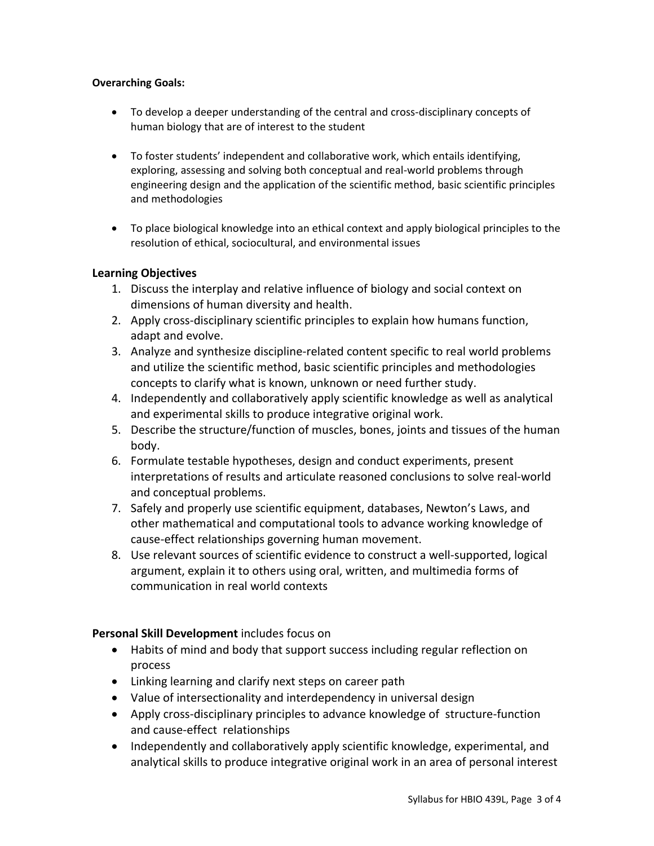## **Overarching Goals:**

- To develop a deeper understanding of the central and cross-disciplinary concepts of human biology that are of interest to the student
- To foster students' independent and collaborative work, which entails identifying, exploring, assessing and solving both conceptual and real-world problems through engineering design and the application of the scientific method, basic scientific principles and methodologies
- To place biological knowledge into an ethical context and apply biological principles to the resolution of ethical, sociocultural, and environmental issues

# **Learning Objectives**

- 1. Discuss the interplay and relative influence of biology and social context on dimensions of human diversity and health.
- 2. Apply cross-disciplinary scientific principles to explain how humans function, adapt and evolve.
- 3. Analyze and synthesize discipline-related content specific to real world problems and utilize the scientific method, basic scientific principles and methodologies concepts to clarify what is known, unknown or need further study.
- 4. Independently and collaboratively apply scientific knowledge as well as analytical and experimental skills to produce integrative original work.
- 5. Describe the structure/function of muscles, bones, joints and tissues of the human body.
- 6. Formulate testable hypotheses, design and conduct experiments, present interpretations of results and articulate reasoned conclusions to solve real-world and conceptual problems.
- 7. Safely and properly use scientific equipment, databases, Newton's Laws, and other mathematical and computational tools to advance working knowledge of cause-effect relationships governing human movement.
- 8. Use relevant sources of scientific evidence to construct a well-supported, logical argument, explain it to others using oral, written, and multimedia forms of communication in real world contexts

# **Personal Skill Development** includes focus on

- Habits of mind and body that support success including regular reflection on process
- Linking learning and clarify next steps on career path
- Value of intersectionality and interdependency in universal design
- Apply cross-disciplinary principles to advance knowledge of structure-function and cause-effect relationships
- Independently and collaboratively apply scientific knowledge, experimental, and analytical skills to produce integrative original work in an area of personal interest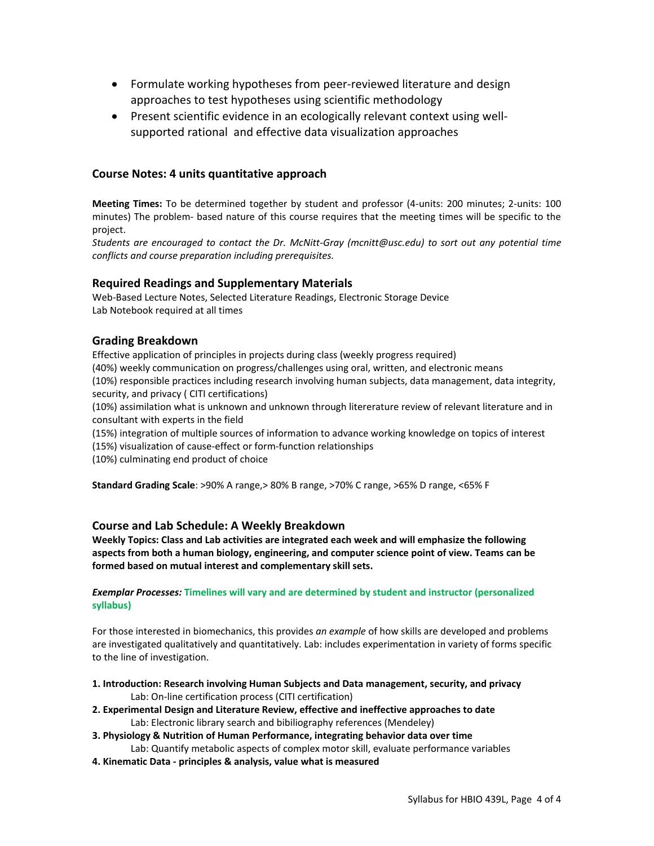- Formulate working hypotheses from peer-reviewed literature and design approaches to test hypotheses using scientific methodology
- Present scientific evidence in an ecologically relevant context using wellsupported rational and effective data visualization approaches

## **Course Notes: 4 units quantitative approach**

**Meeting Times:** To be determined together by student and professor (4-units: 200 minutes; 2-units: 100 minutes) The problem- based nature of this course requires that the meeting times will be specific to the project.

*Students are encouraged to contact the Dr. McNitt-Gray (mcnitt@usc.edu) to sort out any potential time conflicts and course preparation including prerequisites.*

## **Required Readings and Supplementary Materials**

Web-Based Lecture Notes, Selected Literature Readings, Electronic Storage Device Lab Notebook required at all times

## **Grading Breakdown**

Effective application of principles in projects during class (weekly progress required) (40%) weekly communication on progress/challenges using oral, written, and electronic means (10%) responsible practices including research involving human subjects, data management, data integrity, security, and privacy ( CITI certifications)

(10%) assimilation what is unknown and unknown through litererature review of relevant literature and in consultant with experts in the field

(15%) integration of multiple sources of information to advance working knowledge on topics of interest

(15%) visualization of cause-effect or form-function relationships

(10%) culminating end product of choice

**Standard Grading Scale**: >90% A range,> 80% B range, >70% C range, >65% D range, <65% F

#### **Course and Lab Schedule: A Weekly Breakdown**

**Weekly Topics: Class and Lab activities are integrated each week and will emphasize the following aspects from both a human biology, engineering, and computer science point of view. Teams can be formed based on mutual interest and complementary skill sets.**

#### *Exemplar Processes:* **Timelines will vary and are determined by student and instructor (personalized syllabus)**

For those interested in biomechanics, this provides *an example* of how skills are developed and problems are investigated qualitatively and quantitatively. Lab: includes experimentation in variety of forms specific to the line of investigation.

**1. Introduction: Research involving Human Subjects and Data management, security, and privacy**

Lab: On-line certification process (CITI certification)

- **2. Experimental Design and Literature Review, effective and ineffective approaches to date** Lab: Electronic library search and bibiliography references (Mendeley)
- **3. Physiology & Nutrition of Human Performance, integrating behavior data over time** Lab: Quantify metabolic aspects of complex motor skill, evaluate performance variables
- **4. Kinematic Data - principles & analysis, value what is measured**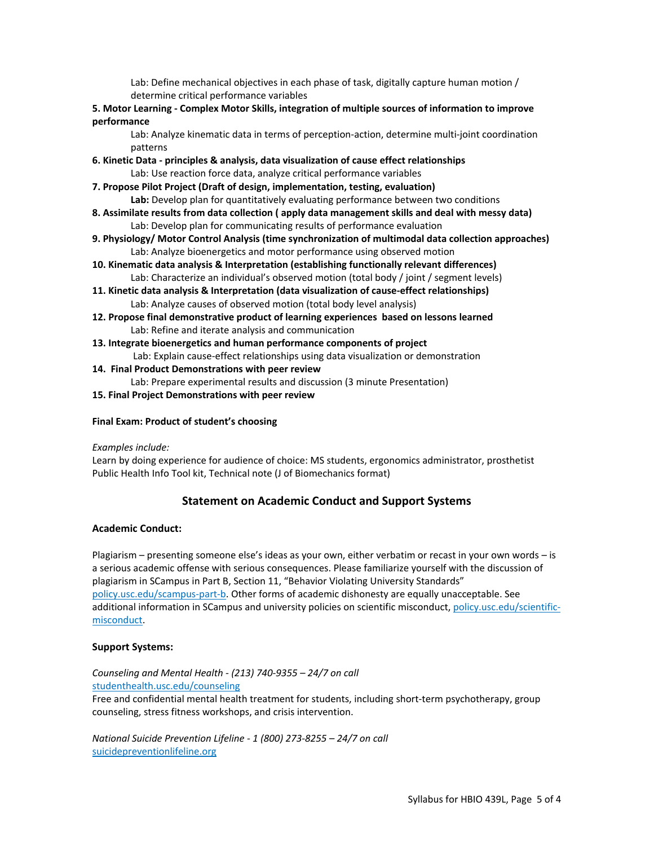Lab: Define mechanical objectives in each phase of task, digitally capture human motion / determine critical performance variables

#### **5. Motor Learning - Complex Motor Skills, integration of multiple sources of information to improve performance**

Lab: Analyze kinematic data in terms of perception-action, determine multi-joint coordination patterns

- **6. Kinetic Data - principles & analysis, data visualization of cause effect relationships** Lab: Use reaction force data, analyze critical performance variables
- **7. Propose Pilot Project (Draft of design, implementation, testing, evaluation)**
	- **Lab:** Develop plan for quantitatively evaluating performance between two conditions
- **8. Assimilate results from data collection ( apply data management skills and deal with messy data)** Lab: Develop plan for communicating results of performance evaluation
- **9. Physiology/ Motor Control Analysis (time synchronization of multimodal data collection approaches)** Lab: Analyze bioenergetics and motor performance using observed motion
- **10. Kinematic data analysis & Interpretation (establishing functionally relevant differences)** Lab: Characterize an individual's observed motion (total body / joint / segment levels)
- **11. Kinetic data analysis & Interpretation (data visualization of cause-effect relationships)** Lab: Analyze causes of observed motion (total body level analysis)
- **12. Propose final demonstrative product of learning experiences based on lessons learned**  Lab: Refine and iterate analysis and communication
- **13. Integrate bioenergetics and human performance components of project** Lab: Explain cause-effect relationships using data visualization or demonstration
- **14. Final Product Demonstrations with peer review**

Lab: Prepare experimental results and discussion (3 minute Presentation)

#### **15. Final Project Demonstrations with peer review**

## **Final Exam: Product of student's choosing**

#### *Examples include:*

Learn by doing experience for audience of choice: MS students, ergonomics administrator, prosthetist Public Health Info Tool kit, Technical note (J of Biomechanics format)

# **Statement on Academic Conduct and Support Systems**

#### **Academic Conduct:**

Plagiarism – presenting someone else's ideas as your own, either verbatim or recast in your own words – is a serious academic offense with serious consequences. Please familiarize yourself with the discussion of plagiarism in SCampus in Part B, Section 11, "Behavior Violating University Standards" [policy.usc.edu/scampus-part-b.](https://policy.usc.edu/scampus-part-b/) Other forms of academic dishonesty are equally unacceptable. See additional information in SCampus and university policies on scientific misconduct[, policy.usc.edu/scientific](http://policy.usc.edu/scientific-misconduct)[misconduct.](http://policy.usc.edu/scientific-misconduct)

#### **Support Systems:**

*Counseling and Mental Health - (213) 740-9355 – 24/7 on call*

[studenthealth.usc.edu/counseling](https://studenthealth.usc.edu/counseling/)

Free and confidential mental health treatment for students, including short-term psychotherapy, group counseling, stress fitness workshops, and crisis intervention.

*National Suicide Prevention Lifeline - 1 (800) 273-8255 – 24/7 on call* [suicidepreventionlifeline.org](http://www.suicidepreventionlifeline.org/)